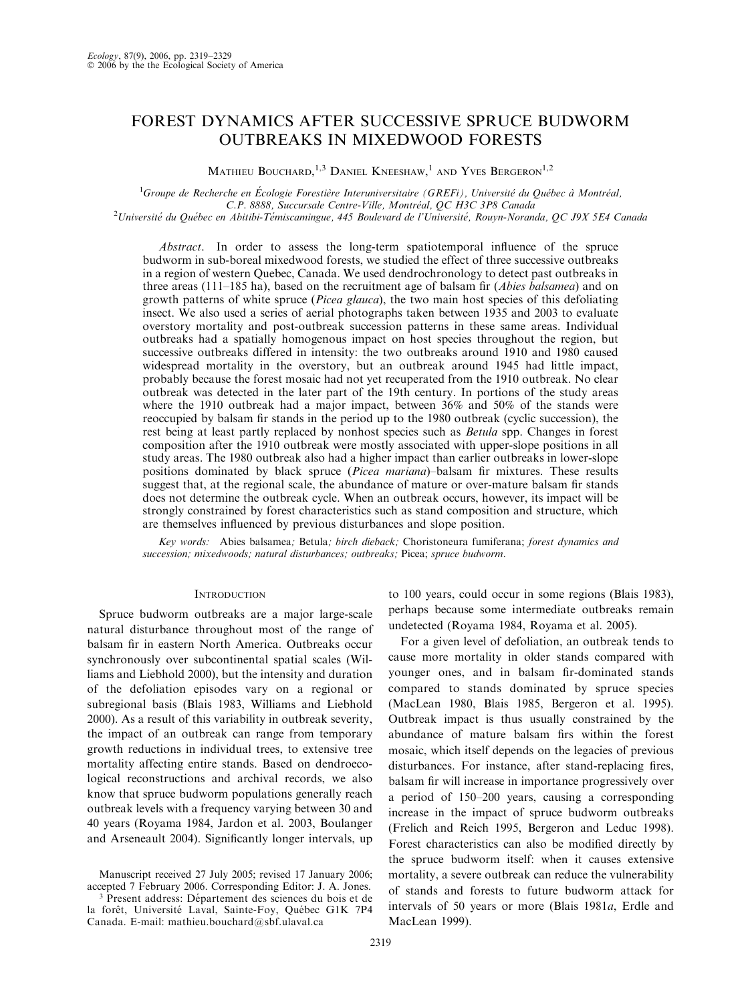# FOREST DYNAMICS AFTER SUCCESSIVE SPRUCE BUDWORM OUTBREAKS IN MIXEDWOOD FORESTS

MATHIEU BOUCHARD,<sup>1,3</sup> DANIEL KNEESHAW,<sup>1</sup> AND YVES BERGERON<sup>1,2</sup>

<sup>1</sup>Groupe de Recherche en Écologie Forestière Interuniversitaire (GREFi), Université du Québec à Montréal, C.P. 8888, Succursale Centre-Ville, Montréal, QC H3C 3P8 Canada<br>Université du Québec en Abitibi-Témiscamingue, 445 Boulevard de l'Université, Rouyn-Noranda, QC J9X 5E4 Canada<sup>2</sup>

Abstract. In order to assess the long-term spatiotemporal influence of the spruce budworm in sub-boreal mixedwood forests, we studied the effect of three successive outbreaks in a region of western Quebec, Canada. We used dendrochronology to detect past outbreaks in three areas (111–185 ha), based on the recruitment age of balsam fir (*Abies balsamea*) and on growth patterns of white spruce (*Picea glauca*), the two main host species of this defoliating insect. We also used a series of aerial photographs taken between 1935 and 2003 to evaluate overstory mortality and post-outbreak succession patterns in these same areas. Individual outbreaks had a spatially homogenous impact on host species throughout the region, but successive outbreaks differed in intensity: the two outbreaks around 1910 and 1980 caused widespread mortality in the overstory, but an outbreak around 1945 had little impact, probably because the forest mosaic had not yet recuperated from the 1910 outbreak. No clear outbreak was detected in the later part of the 19th century. In portions of the study areas where the 1910 outbreak had a major impact, between 36% and 50% of the stands were reoccupied by balsam fir stands in the period up to the 1980 outbreak (cyclic succession), the rest being at least partly replaced by nonhost species such as *Betula* spp. Changes in forest composition after the 1910 outbreak were mostly associated with upper-slope positions in all study areas. The 1980 outbreak also had a higher impact than earlier outbreaks in lower-slope positions dominated by black spruce (Picea mariana)–balsam fir mixtures. These results suggest that, at the regional scale, the abundance of mature or over-mature balsam fir stands does not determine the outbreak cycle. When an outbreak occurs, however, its impact will be strongly constrained by forest characteristics such as stand composition and structure, which are themselves influenced by previous disturbances and slope position.

Key words: Abies balsamea; Betula; birch dieback; Choristoneura fumiferana; forest dynamics and succession; mixedwoods; natural disturbances; outbreaks; Picea; spruce budworm.

# **INTRODUCTION**

Spruce budworm outbreaks are a major large-scale natural disturbance throughout most of the range of balsam fir in eastern North America. Outbreaks occur synchronously over subcontinental spatial scales (Williams and Liebhold 2000), but the intensity and duration of the defoliation episodes vary on a regional or subregional basis (Blais 1983, Williams and Liebhold 2000). As a result of this variability in outbreak severity, the impact of an outbreak can range from temporary growth reductions in individual trees, to extensive tree mortality affecting entire stands. Based on dendroecological reconstructions and archival records, we also know that spruce budworm populations generally reach outbreak levels with a frequency varying between 30 and 40 years (Royama 1984, Jardon et al. 2003, Boulanger and Arseneault 2004). Significantly longer intervals, up

Manuscript received 27 July 2005; revised 17 January 2006; accepted 7 February 2006. Corresponding Editor: J. A. Jones. <sup>3</sup> Present address: Département des sciences du bois et de

la forêt, Université Laval, Sainte-Foy, Québec G1K 7P4 Canada. E-mail: mathieu.bouchard@sbf.ulaval.ca

to 100 years, could occur in some regions (Blais 1983), perhaps because some intermediate outbreaks remain undetected (Royama 1984, Royama et al. 2005).

For a given level of defoliation, an outbreak tends to cause more mortality in older stands compared with younger ones, and in balsam fir-dominated stands compared to stands dominated by spruce species (MacLean 1980, Blais 1985, Bergeron et al. 1995). Outbreak impact is thus usually constrained by the abundance of mature balsam firs within the forest mosaic, which itself depends on the legacies of previous disturbances. For instance, after stand-replacing fires, balsam fir will increase in importance progressively over a period of 150–200 years, causing a corresponding increase in the impact of spruce budworm outbreaks (Frelich and Reich 1995, Bergeron and Leduc 1998). Forest characteristics can also be modified directly by the spruce budworm itself: when it causes extensive mortality, a severe outbreak can reduce the vulnerability of stands and forests to future budworm attack for intervals of 50 years or more (Blais 1981a, Erdle and MacLean 1999).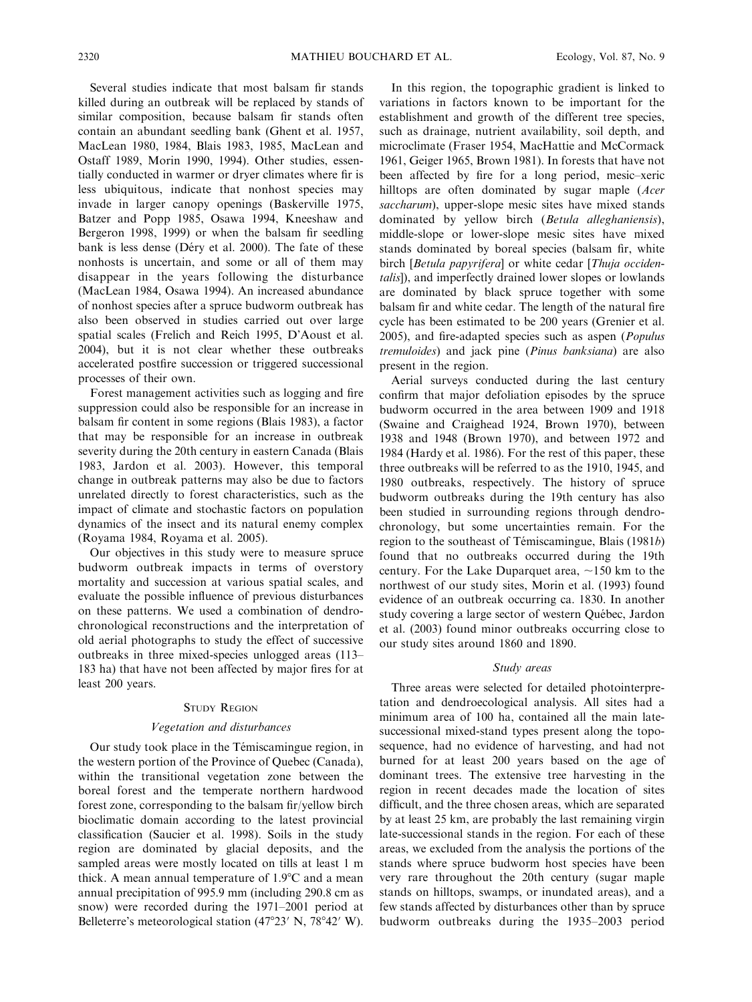Several studies indicate that most balsam fir stands killed during an outbreak will be replaced by stands of similar composition, because balsam fir stands often contain an abundant seedling bank (Ghent et al. 1957, MacLean 1980, 1984, Blais 1983, 1985, MacLean and Ostaff 1989, Morin 1990, 1994). Other studies, essentially conducted in warmer or dryer climates where fir is less ubiquitous, indicate that nonhost species may invade in larger canopy openings (Baskerville 1975, Batzer and Popp 1985, Osawa 1994, Kneeshaw and Bergeron 1998, 1999) or when the balsam fir seedling bank is less dense (Déry et al. 2000). The fate of these nonhosts is uncertain, and some or all of them may disappear in the years following the disturbance (MacLean 1984, Osawa 1994). An increased abundance of nonhost species after a spruce budworm outbreak has also been observed in studies carried out over large spatial scales (Frelich and Reich 1995, D'Aoust et al. 2004), but it is not clear whether these outbreaks accelerated postfire succession or triggered successional processes of their own.

Forest management activities such as logging and fire suppression could also be responsible for an increase in balsam fir content in some regions (Blais 1983), a factor that may be responsible for an increase in outbreak severity during the 20th century in eastern Canada (Blais 1983, Jardon et al. 2003). However, this temporal change in outbreak patterns may also be due to factors unrelated directly to forest characteristics, such as the impact of climate and stochastic factors on population dynamics of the insect and its natural enemy complex (Royama 1984, Royama et al. 2005).

Our objectives in this study were to measure spruce budworm outbreak impacts in terms of overstory mortality and succession at various spatial scales, and evaluate the possible influence of previous disturbances on these patterns. We used a combination of dendrochronological reconstructions and the interpretation of old aerial photographs to study the effect of successive outbreaks in three mixed-species unlogged areas (113– 183 ha) that have not been affected by major fires for at least 200 years.

#### STUDY REGION

#### Vegetation and disturbances

Our study took place in the Témiscamingue region, in the western portion of the Province of Quebec (Canada), within the transitional vegetation zone between the boreal forest and the temperate northern hardwood forest zone, corresponding to the balsam fir/yellow birch bioclimatic domain according to the latest provincial classification (Saucier et al. 1998). Soils in the study region are dominated by glacial deposits, and the sampled areas were mostly located on tills at least 1 m thick. A mean annual temperature of  $1.9^{\circ}$ C and a mean annual precipitation of 995.9 mm (including 290.8 cm as snow) were recorded during the 1971–2001 period at Belleterre's meteorological station  $(47^{\circ}23' \text{ N}, 78^{\circ}42' \text{ W})$ .

In this region, the topographic gradient is linked to variations in factors known to be important for the establishment and growth of the different tree species, such as drainage, nutrient availability, soil depth, and microclimate (Fraser 1954, MacHattie and McCormack 1961, Geiger 1965, Brown 1981). In forests that have not been affected by fire for a long period, mesic–xeric hilltops are often dominated by sugar maple (*Acer* saccharum), upper-slope mesic sites have mixed stands dominated by yellow birch (Betula alleghaniensis), middle-slope or lower-slope mesic sites have mixed stands dominated by boreal species (balsam fir, white birch [Betula papyrifera] or white cedar [Thuja occidentalis]), and imperfectly drained lower slopes or lowlands are dominated by black spruce together with some balsam fir and white cedar. The length of the natural fire cycle has been estimated to be 200 years (Grenier et al. 2005), and fire-adapted species such as aspen (Populus tremuloides) and jack pine (Pinus banksiana) are also present in the region.

Aerial surveys conducted during the last century confirm that major defoliation episodes by the spruce budworm occurred in the area between 1909 and 1918 (Swaine and Craighead 1924, Brown 1970), between 1938 and 1948 (Brown 1970), and between 1972 and 1984 (Hardy et al. 1986). For the rest of this paper, these three outbreaks will be referred to as the 1910, 1945, and 1980 outbreaks, respectively. The history of spruce budworm outbreaks during the 19th century has also been studied in surrounding regions through dendrochronology, but some uncertainties remain. For the region to the southeast of Témiscamingue, Blais  $(1981b)$ found that no outbreaks occurred during the 19th century. For the Lake Duparquet area,  $\sim$ 150 km to the northwest of our study sites, Morin et al. (1993) found evidence of an outbreak occurring ca. 1830. In another study covering a large sector of western Québec, Jardon et al. (2003) found minor outbreaks occurring close to our study sites around 1860 and 1890.

# Study areas

Three areas were selected for detailed photointerpretation and dendroecological analysis. All sites had a minimum area of 100 ha, contained all the main latesuccessional mixed-stand types present along the toposequence, had no evidence of harvesting, and had not burned for at least 200 years based on the age of dominant trees. The extensive tree harvesting in the region in recent decades made the location of sites difficult, and the three chosen areas, which are separated by at least 25 km, are probably the last remaining virgin late-successional stands in the region. For each of these areas, we excluded from the analysis the portions of the stands where spruce budworm host species have been very rare throughout the 20th century (sugar maple stands on hilltops, swamps, or inundated areas), and a few stands affected by disturbances other than by spruce budworm outbreaks during the 1935–2003 period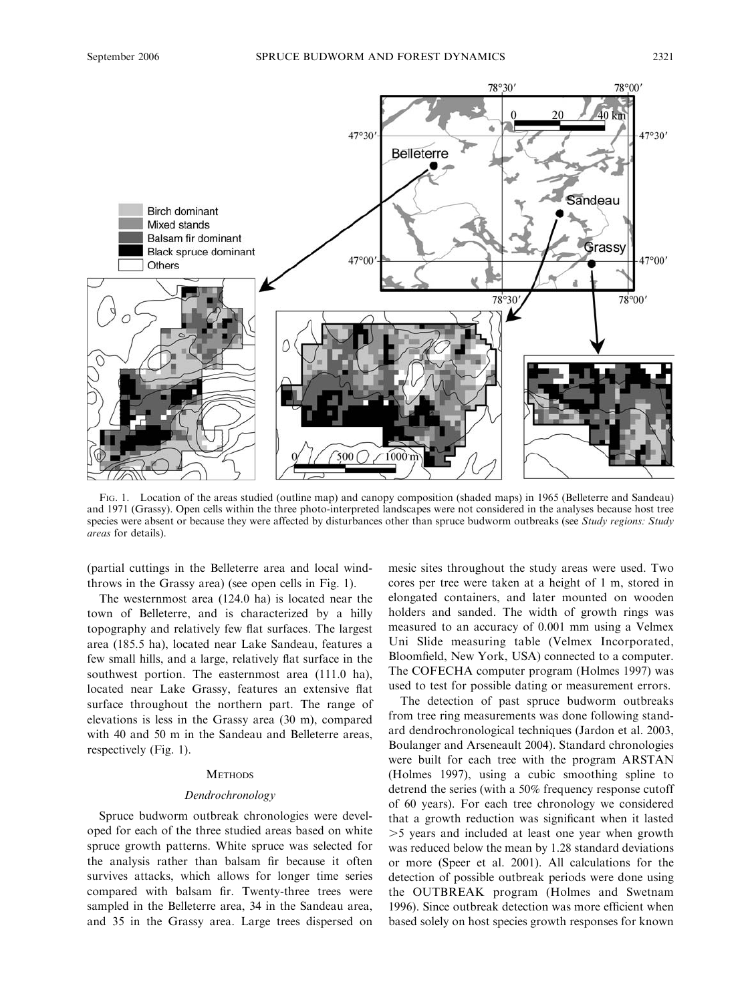

FIG. 1. Location of the areas studied (outline map) and canopy composition (shaded maps) in 1965 (Belleterre and Sandeau) and 1971 (Grassy). Open cells within the three photo-interpreted landscapes were not considered in the analyses because host tree species were absent or because they were affected by disturbances other than spruce budworm outbreaks (see Study regions: Study areas for details).

(partial cuttings in the Belleterre area and local windthrows in the Grassy area) (see open cells in Fig. 1).

The westernmost area (124.0 ha) is located near the town of Belleterre, and is characterized by a hilly topography and relatively few flat surfaces. The largest area (185.5 ha), located near Lake Sandeau, features a few small hills, and a large, relatively flat surface in the southwest portion. The easternmost area (111.0 ha), located near Lake Grassy, features an extensive flat surface throughout the northern part. The range of elevations is less in the Grassy area (30 m), compared with 40 and 50 m in the Sandeau and Belleterre areas, respectively (Fig. 1).

# **METHODS**

# Dendrochronology

Spruce budworm outbreak chronologies were developed for each of the three studied areas based on white spruce growth patterns. White spruce was selected for the analysis rather than balsam fir because it often survives attacks, which allows for longer time series compared with balsam fir. Twenty-three trees were sampled in the Belleterre area, 34 in the Sandeau area, and 35 in the Grassy area. Large trees dispersed on mesic sites throughout the study areas were used. Two cores per tree were taken at a height of 1 m, stored in elongated containers, and later mounted on wooden holders and sanded. The width of growth rings was measured to an accuracy of 0.001 mm using a Velmex Uni Slide measuring table (Velmex Incorporated, Bloomfield, New York, USA) connected to a computer. The COFECHA computer program (Holmes 1997) was used to test for possible dating or measurement errors.

The detection of past spruce budworm outbreaks from tree ring measurements was done following standard dendrochronological techniques (Jardon et al. 2003, Boulanger and Arseneault 2004). Standard chronologies were built for each tree with the program ARSTAN (Holmes 1997), using a cubic smoothing spline to detrend the series (with a 50% frequency response cutoff of 60 years). For each tree chronology we considered that a growth reduction was significant when it lasted .5 years and included at least one year when growth was reduced below the mean by 1.28 standard deviations or more (Speer et al. 2001). All calculations for the detection of possible outbreak periods were done using the OUTBREAK program (Holmes and Swetnam 1996). Since outbreak detection was more efficient when based solely on host species growth responses for known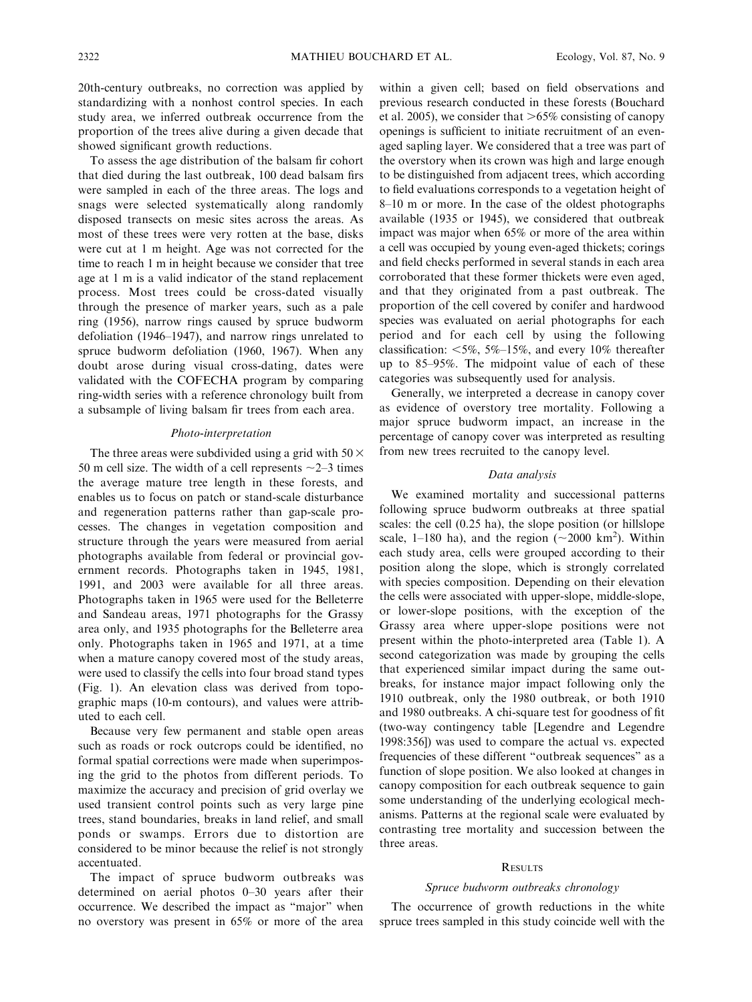20th-century outbreaks, no correction was applied by standardizing with a nonhost control species. In each study area, we inferred outbreak occurrence from the proportion of the trees alive during a given decade that showed significant growth reductions.

To assess the age distribution of the balsam fir cohort that died during the last outbreak, 100 dead balsam firs were sampled in each of the three areas. The logs and snags were selected systematically along randomly disposed transects on mesic sites across the areas. As most of these trees were very rotten at the base, disks were cut at 1 m height. Age was not corrected for the time to reach 1 m in height because we consider that tree age at 1 m is a valid indicator of the stand replacement process. Most trees could be cross-dated visually through the presence of marker years, such as a pale ring (1956), narrow rings caused by spruce budworm defoliation (1946–1947), and narrow rings unrelated to spruce budworm defoliation (1960, 1967). When any doubt arose during visual cross-dating, dates were validated with the COFECHA program by comparing ring-width series with a reference chronology built from a subsample of living balsam fir trees from each area.

# Photo-interpretation

The three areas were subdivided using a grid with 50  $\times$ 50 m cell size. The width of a cell represents  $\sim$ 2–3 times the average mature tree length in these forests, and enables us to focus on patch or stand-scale disturbance and regeneration patterns rather than gap-scale processes. The changes in vegetation composition and structure through the years were measured from aerial photographs available from federal or provincial government records. Photographs taken in 1945, 1981, 1991, and 2003 were available for all three areas. Photographs taken in 1965 were used for the Belleterre and Sandeau areas, 1971 photographs for the Grassy area only, and 1935 photographs for the Belleterre area only. Photographs taken in 1965 and 1971, at a time when a mature canopy covered most of the study areas, were used to classify the cells into four broad stand types (Fig. 1). An elevation class was derived from topographic maps (10-m contours), and values were attributed to each cell.

Because very few permanent and stable open areas such as roads or rock outcrops could be identified, no formal spatial corrections were made when superimposing the grid to the photos from different periods. To maximize the accuracy and precision of grid overlay we used transient control points such as very large pine trees, stand boundaries, breaks in land relief, and small ponds or swamps. Errors due to distortion are considered to be minor because the relief is not strongly accentuated.

The impact of spruce budworm outbreaks was determined on aerial photos 0–30 years after their occurrence. We described the impact as ''major'' when no overstory was present in 65% or more of the area

within a given cell; based on field observations and previous research conducted in these forests (Bouchard et al. 2005), we consider that  $>65\%$  consisting of canopy openings is sufficient to initiate recruitment of an evenaged sapling layer. We considered that a tree was part of the overstory when its crown was high and large enough to be distinguished from adjacent trees, which according to field evaluations corresponds to a vegetation height of 8–10 m or more. In the case of the oldest photographs available (1935 or 1945), we considered that outbreak impact was major when 65% or more of the area within a cell was occupied by young even-aged thickets; corings and field checks performed in several stands in each area corroborated that these former thickets were even aged, and that they originated from a past outbreak. The proportion of the cell covered by conifer and hardwood species was evaluated on aerial photographs for each period and for each cell by using the following classification:  $\leq 5\%$ , 5%–15%, and every 10% thereafter up to 85–95%. The midpoint value of each of these categories was subsequently used for analysis.

Generally, we interpreted a decrease in canopy cover as evidence of overstory tree mortality. Following a major spruce budworm impact, an increase in the percentage of canopy cover was interpreted as resulting from new trees recruited to the canopy level.

# Data analysis

We examined mortality and successional patterns following spruce budworm outbreaks at three spatial scales: the cell (0.25 ha), the slope position (or hillslope scale, 1-180 ha), and the region  $({\sim}2000 \text{ km}^2)$ . Within each study area, cells were grouped according to their position along the slope, which is strongly correlated with species composition. Depending on their elevation the cells were associated with upper-slope, middle-slope, or lower-slope positions, with the exception of the Grassy area where upper-slope positions were not present within the photo-interpreted area (Table 1). A second categorization was made by grouping the cells that experienced similar impact during the same outbreaks, for instance major impact following only the 1910 outbreak, only the 1980 outbreak, or both 1910 and 1980 outbreaks. A chi-square test for goodness of fit (two-way contingency table [Legendre and Legendre 1998:356]) was used to compare the actual vs. expected frequencies of these different ''outbreak sequences'' as a function of slope position. We also looked at changes in canopy composition for each outbreak sequence to gain some understanding of the underlying ecological mechanisms. Patterns at the regional scale were evaluated by contrasting tree mortality and succession between the three areas.

## **RESULTS**

#### Spruce budworm outbreaks chronology

The occurrence of growth reductions in the white spruce trees sampled in this study coincide well with the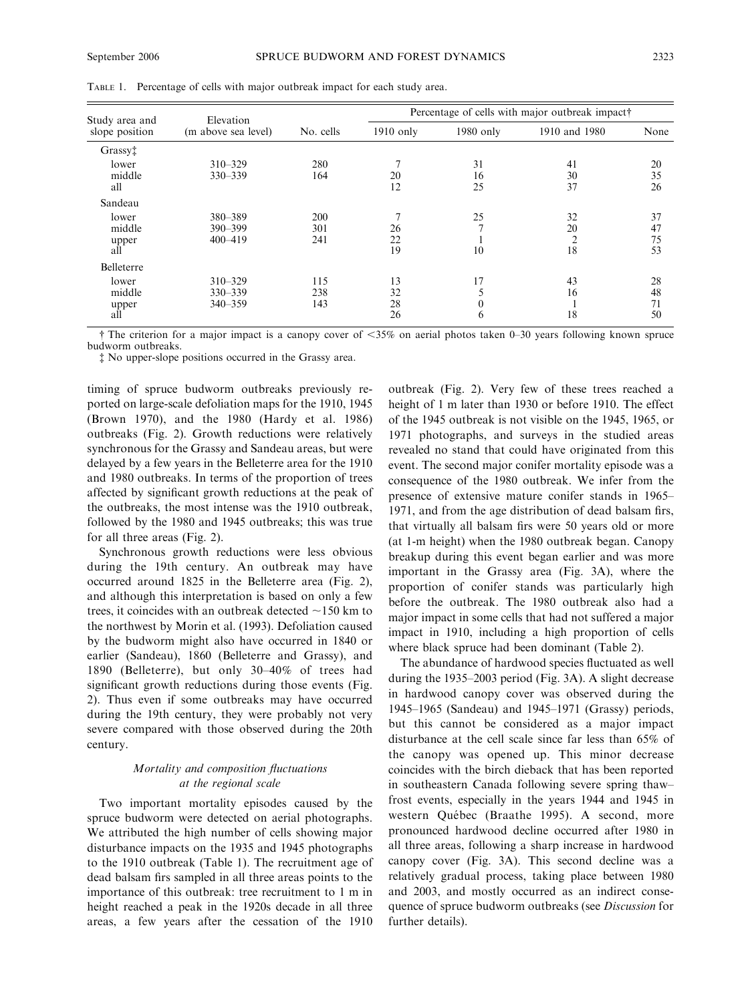| Study area and<br>slope position | Elevation<br>(m above sea level)      |                   | Percentage of cells with major outbreak impact |                           |                                  |                      |
|----------------------------------|---------------------------------------|-------------------|------------------------------------------------|---------------------------|----------------------------------|----------------------|
|                                  |                                       | No. cells         | $1910$ only                                    | 1980 only                 | 1910 and 1980                    | None                 |
| Grassy <sup>†</sup>              |                                       |                   |                                                |                           |                                  |                      |
| lower<br>middle<br>all           | $310 - 329$<br>330-339                | 280<br>164        | 20<br>12                                       | 31<br>16<br>25            | 41<br>30<br>37                   | 20<br>35<br>26       |
| Sandeau                          |                                       |                   |                                                |                           |                                  |                      |
| lower<br>middle<br>upper<br>all  | 380-389<br>$390 - 399$<br>$400 - 419$ | 200<br>301<br>241 | 26<br>22<br>19                                 | 25<br>$\mathcal{I}$<br>10 | 32<br>20<br>$\overline{2}$<br>18 | 37<br>47<br>75<br>53 |
| <b>Belleterre</b>                |                                       |                   |                                                |                           |                                  |                      |
| lower<br>middle<br>upper<br>all  | $310 - 329$<br>330-339<br>$340 - 359$ | 115<br>238<br>143 | 13<br>32<br>28<br>26                           | 17<br>$\mathbf{0}$<br>6   | 43<br>16<br>18                   | 28<br>48<br>71<br>50 |

TABLE 1. Percentage of cells with major outbreak impact for each study area.

The criterion for a major impact is a canopy cover of  $<35\%$  on aerial photos taken 0–30 years following known spruce budworm outbreaks.

- No upper-slope positions occurred in the Grassy area.

timing of spruce budworm outbreaks previously reported on large-scale defoliation maps for the 1910, 1945 (Brown 1970), and the 1980 (Hardy et al. 1986) outbreaks (Fig. 2). Growth reductions were relatively synchronous for the Grassy and Sandeau areas, but were delayed by a few years in the Belleterre area for the 1910 and 1980 outbreaks. In terms of the proportion of trees affected by significant growth reductions at the peak of the outbreaks, the most intense was the 1910 outbreak, followed by the 1980 and 1945 outbreaks; this was true for all three areas (Fig. 2).

Synchronous growth reductions were less obvious during the 19th century. An outbreak may have occurred around 1825 in the Belleterre area (Fig. 2), and although this interpretation is based on only a few trees, it coincides with an outbreak detected  $\sim$ 150 km to the northwest by Morin et al. (1993). Defoliation caused by the budworm might also have occurred in 1840 or earlier (Sandeau), 1860 (Belleterre and Grassy), and 1890 (Belleterre), but only 30–40% of trees had significant growth reductions during those events (Fig. 2). Thus even if some outbreaks may have occurred during the 19th century, they were probably not very severe compared with those observed during the 20th century.

# Mortality and composition fluctuations at the regional scale

Two important mortality episodes caused by the spruce budworm were detected on aerial photographs. We attributed the high number of cells showing major disturbance impacts on the 1935 and 1945 photographs to the 1910 outbreak (Table 1). The recruitment age of dead balsam firs sampled in all three areas points to the importance of this outbreak: tree recruitment to 1 m in height reached a peak in the 1920s decade in all three areas, a few years after the cessation of the 1910 outbreak (Fig. 2). Very few of these trees reached a height of 1 m later than 1930 or before 1910. The effect of the 1945 outbreak is not visible on the 1945, 1965, or 1971 photographs, and surveys in the studied areas revealed no stand that could have originated from this event. The second major conifer mortality episode was a consequence of the 1980 outbreak. We infer from the presence of extensive mature conifer stands in 1965– 1971, and from the age distribution of dead balsam firs, that virtually all balsam firs were 50 years old or more (at 1-m height) when the 1980 outbreak began. Canopy breakup during this event began earlier and was more important in the Grassy area (Fig. 3A), where the proportion of conifer stands was particularly high before the outbreak. The 1980 outbreak also had a major impact in some cells that had not suffered a major impact in 1910, including a high proportion of cells where black spruce had been dominant (Table 2).

The abundance of hardwood species fluctuated as well during the 1935–2003 period (Fig. 3A). A slight decrease in hardwood canopy cover was observed during the 1945–1965 (Sandeau) and 1945–1971 (Grassy) periods, but this cannot be considered as a major impact disturbance at the cell scale since far less than 65% of the canopy was opened up. This minor decrease coincides with the birch dieback that has been reported in southeastern Canada following severe spring thaw– frost events, especially in the years 1944 and 1945 in western Québec (Braathe 1995). A second, more pronounced hardwood decline occurred after 1980 in all three areas, following a sharp increase in hardwood canopy cover (Fig. 3A). This second decline was a relatively gradual process, taking place between 1980 and 2003, and mostly occurred as an indirect consequence of spruce budworm outbreaks (see Discussion for further details).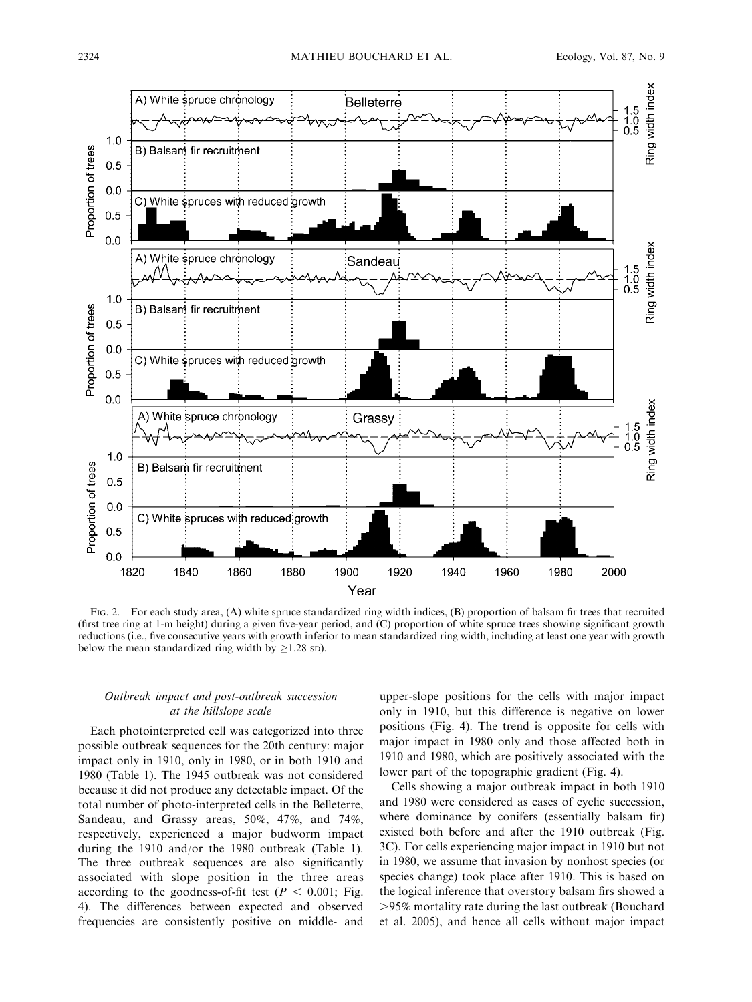

FIG. 2. For each study area, (A) white spruce standardized ring width indices, (B) proportion of balsam fir trees that recruited (first tree ring at 1-m height) during a given five-year period, and (C) proportion of white spruce trees showing significant growth reductions (i.e., five consecutive years with growth inferior to mean standardized ring width, including at least one year with growth below the mean standardized ring width by  $>1.28$  sp).

# Outbreak impact and post-outbreak succession at the hillslope scale

Each photointerpreted cell was categorized into three possible outbreak sequences for the 20th century: major impact only in 1910, only in 1980, or in both 1910 and 1980 (Table 1). The 1945 outbreak was not considered because it did not produce any detectable impact. Of the total number of photo-interpreted cells in the Belleterre, Sandeau, and Grassy areas, 50%, 47%, and 74%, respectively, experienced a major budworm impact during the 1910 and/or the 1980 outbreak (Table 1). The three outbreak sequences are also significantly associated with slope position in the three areas according to the goodness-of-fit test ( $P < 0.001$ ; Fig. 4). The differences between expected and observed frequencies are consistently positive on middle- and upper-slope positions for the cells with major impact only in 1910, but this difference is negative on lower positions (Fig. 4). The trend is opposite for cells with major impact in 1980 only and those affected both in 1910 and 1980, which are positively associated with the lower part of the topographic gradient (Fig. 4).

Cells showing a major outbreak impact in both 1910 and 1980 were considered as cases of cyclic succession, where dominance by conifers (essentially balsam fir) existed both before and after the 1910 outbreak (Fig. 3C). For cells experiencing major impact in 1910 but not in 1980, we assume that invasion by nonhost species (or species change) took place after 1910. This is based on the logical inference that overstory balsam firs showed a .95% mortality rate during the last outbreak (Bouchard et al. 2005), and hence all cells without major impact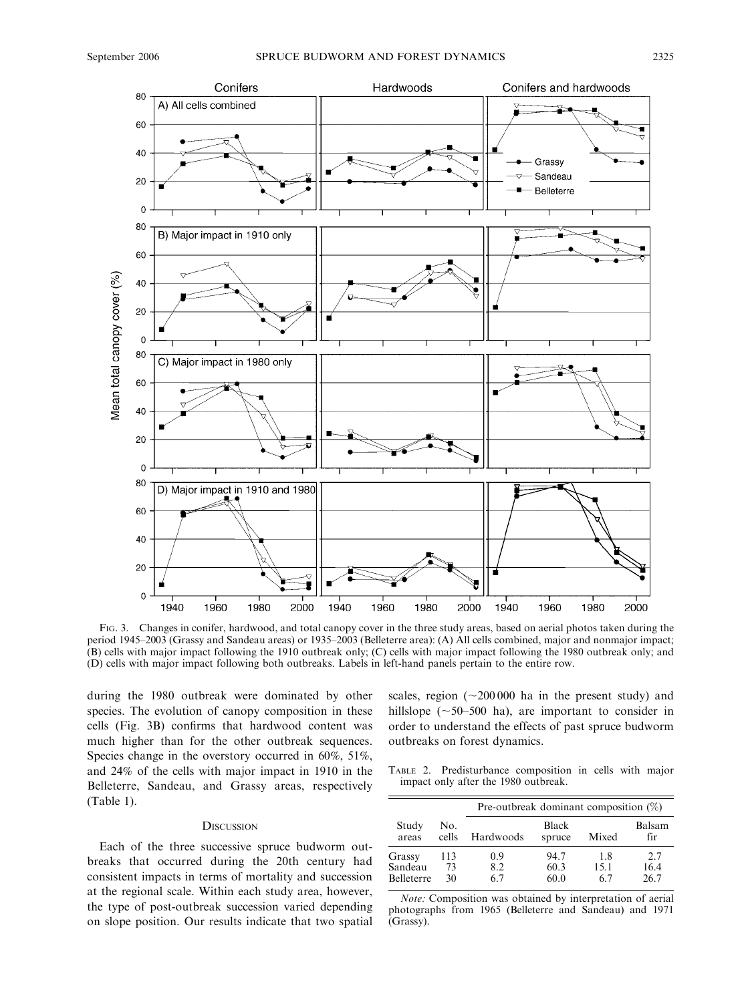

FIG. 3. Changes in conifer, hardwood, and total canopy cover in the three study areas, based on aerial photos taken during the period 1945–2003 (Grassy and Sandeau areas) or 1935–2003 (Belleterre area): (A) All cells combined, major and nonmajor impact; (B) cells with major impact following the 1910 outbreak only; (C) cells with major impact following the 1980 outbreak only; and (D) cells with major impact following both outbreaks. Labels in left-hand panels pertain to the entire row.

during the 1980 outbreak were dominated by other species. The evolution of canopy composition in these cells (Fig. 3B) confirms that hardwood content was much higher than for the other outbreak sequences. Species change in the overstory occurred in 60%, 51%, and 24% of the cells with major impact in 1910 in the Belleterre, Sandeau, and Grassy areas, respectively (Table 1).

## **DISCUSSION**

Each of the three successive spruce budworm outbreaks that occurred during the 20th century had consistent impacts in terms of mortality and succession at the regional scale. Within each study area, however, the type of post-outbreak succession varied depending on slope position. Our results indicate that two spatial scales, region  $({\sim}200\,000$  ha in the present study) and hillslope  $({\sim}50$ –500 ha), are important to consider in order to understand the effects of past spruce budworm outbreaks on forest dynamics.

TABLE 2. Predisturbance composition in cells with major impact only after the 1980 outbreak.

|                                        |                 | Pre-outbreak dominant composition $(\%)$ |                        |                   |                     |  |  |
|----------------------------------------|-----------------|------------------------------------------|------------------------|-------------------|---------------------|--|--|
| Study<br>areas                         | No.<br>cells    | Hardwoods                                | <b>Black</b><br>spruce | Mixed             | Balsam<br>fir       |  |  |
| Grassy<br>Sandeau<br><b>Belleterre</b> | 113<br>73<br>30 | 0.9<br>8.2<br>67                         | 94.7<br>60.3<br>60.0   | 18<br>15.1<br>6.7 | 2.7<br>16.4<br>26.7 |  |  |

Note: Composition was obtained by interpretation of aerial photographs from 1965 (Belleterre and Sandeau) and 1971 (Grassy).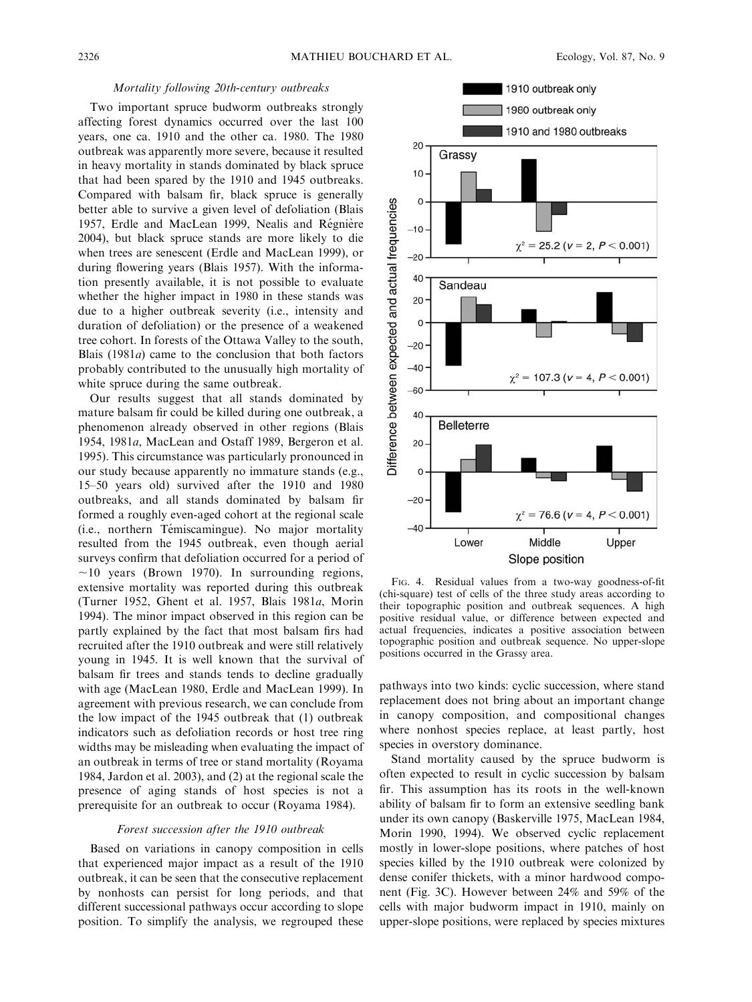# Mortality following 20th-century outbreaks

Two important spruce budworm outbreaks strongly affecting forest dynamics occurred over the last 100 years, one ca. 1910 and the other ca. 1980. The 1980 outbreak was apparently more severe, because it resulted in heavy mortality in stands dominated by black spruce that had been spared by the 1910 and 1945 outbreaks. Compared with balsam fir, black spruce is generally better able to survive a given level of defoliation (Blais 1957, Erdle and MacLean 1999, Nealis and Régnière 2004), but black spruce stands are more likely to die when trees are senescent (Erdle and MacLean 1999), or during flowering years (Blais 1957). With the information presently available, it is not possible to evaluate whether the higher impact in 1980 in these stands was due to a higher outbreak severity (i.e., intensity and duration of defoliation) or the presence of a weakened tree cohort. In forests of the Ottawa Valley to the south, Blais (1981a) came to the conclusion that both factors probably contributed to the unusually high mortality of white spruce during the same outbreak.

Our results suggest that all stands dominated by mature balsam fir could be killed during one outbreak, a phenomenon already observed in other regions (Blais 1954, 1981a, MacLean and Ostaff 1989, Bergeron et al. 1995). This circumstance was particularly pronounced in our study because apparently no immature stands (e.g., 15–50 years old) survived after the 1910 and 1980 outbreaks, and all stands dominated by balsam fir formed a roughly even-aged cohort at the regional scale (i.e., northern Témiscamingue). No major mortality resulted from the 1945 outbreak, even though aerial surveys confirm that defoliation occurred for a period of  $\sim$ 10 years (Brown 1970). In surrounding regions, extensive mortality was reported during this outbreak (Turner 1952, Ghent et al. 1957, Blais 1981a, Morin 1994). The minor impact observed in this region can be partly explained by the fact that most balsam firs had recruited after the 1910 outbreak and were still relatively young in 1945. It is well known that the survival of balsam fir trees and stands tends to decline gradually with age (MacLean 1980, Erdle and MacLean 1999). In agreement with previous research, we can conclude from the low impact of the 1945 outbreak that (1) outbreak indicators such as defoliation records or host tree ring widths may be misleading when evaluating the impact of an outbreak in terms of tree or stand mortality (Royama 1984, Jardon et al. 2003), and (2) at the regional scale the presence of aging stands of host species is not a prerequisite for an outbreak to occur (Royama 1984).

## Forest succession after the 1910 outbreak

Based on variations in canopy composition in cells that experienced major impact as a result of the 1910 outbreak, it can be seen that the consecutive replacement by nonhosts can persist for long periods, and that different successional pathways occur according to slope position. To simplify the analysis, we regrouped these



FIG. 4. Residual values from a two-way goodness-of-fit (chi-square) test of cells of the three study areas according to their topographic position and outbreak sequences. A high positive residual value, or difference between expected and actual frequencies, indicates a positive association between topographic position and outbreak sequence. No upper-slope positions occurred in the Grassy area.

pathways into two kinds: cyclic succession, where stand replacement does not bring about an important change in canopy composition, and compositional changes where nonhost species replace, at least partly, host species in overstory dominance.

Stand mortality caused by the spruce budworm is often expected to result in cyclic succession by balsam fir. This assumption has its roots in the well-known ability of balsam fir to form an extensive seedling bank under its own canopy (Baskerville 1975, MacLean 1984, Morin 1990, 1994). We observed cyclic replacement mostly in lower-slope positions, where patches of host species killed by the 1910 outbreak were colonized by dense conifer thickets, with a minor hardwood component (Fig. 3C). However between 24% and 59% of the cells with major budworm impact in 1910, mainly on upper-slope positions, were replaced by species mixtures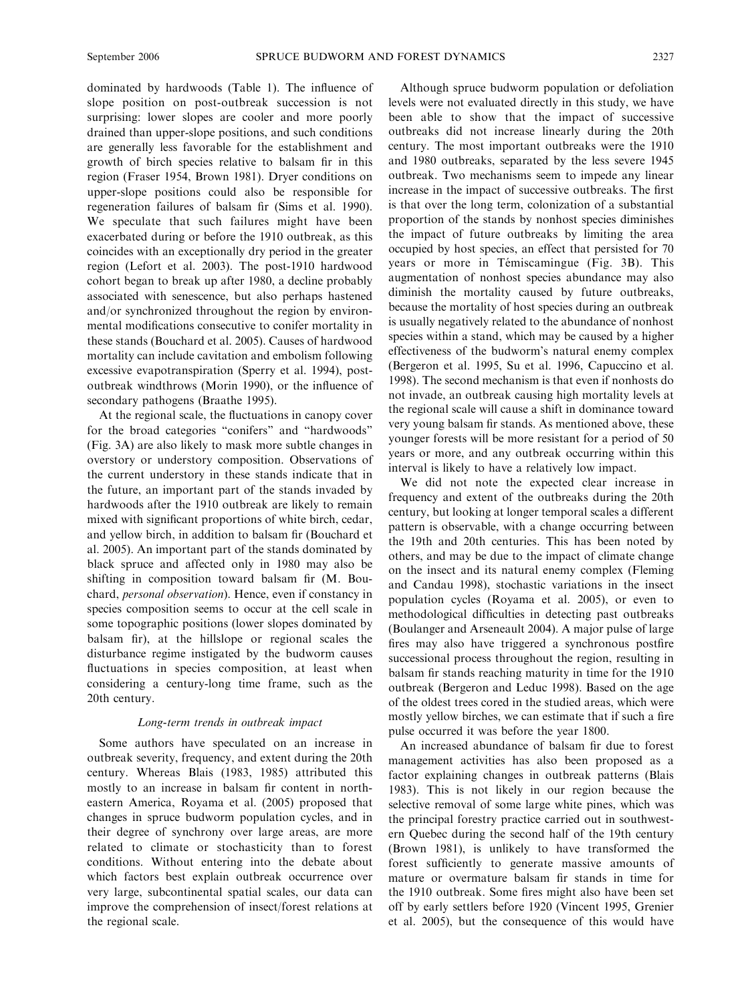dominated by hardwoods (Table 1). The influence of slope position on post-outbreak succession is not surprising: lower slopes are cooler and more poorly drained than upper-slope positions, and such conditions are generally less favorable for the establishment and growth of birch species relative to balsam fir in this region (Fraser 1954, Brown 1981). Dryer conditions on upper-slope positions could also be responsible for regeneration failures of balsam fir (Sims et al. 1990). We speculate that such failures might have been exacerbated during or before the 1910 outbreak, as this coincides with an exceptionally dry period in the greater region (Lefort et al. 2003). The post-1910 hardwood cohort began to break up after 1980, a decline probably associated with senescence, but also perhaps hastened and/or synchronized throughout the region by environmental modifications consecutive to conifer mortality in these stands (Bouchard et al. 2005). Causes of hardwood mortality can include cavitation and embolism following excessive evapotranspiration (Sperry et al. 1994), postoutbreak windthrows (Morin 1990), or the influence of secondary pathogens (Braathe 1995).

At the regional scale, the fluctuations in canopy cover for the broad categories ''conifers'' and ''hardwoods'' (Fig. 3A) are also likely to mask more subtle changes in overstory or understory composition. Observations of the current understory in these stands indicate that in the future, an important part of the stands invaded by hardwoods after the 1910 outbreak are likely to remain mixed with significant proportions of white birch, cedar, and yellow birch, in addition to balsam fir (Bouchard et al. 2005). An important part of the stands dominated by black spruce and affected only in 1980 may also be shifting in composition toward balsam fir (M. Bouchard, personal observation). Hence, even if constancy in species composition seems to occur at the cell scale in some topographic positions (lower slopes dominated by balsam fir), at the hillslope or regional scales the disturbance regime instigated by the budworm causes fluctuations in species composition, at least when considering a century-long time frame, such as the 20th century.

# Long-term trends in outbreak impact

Some authors have speculated on an increase in outbreak severity, frequency, and extent during the 20th century. Whereas Blais (1983, 1985) attributed this mostly to an increase in balsam fir content in northeastern America, Royama et al. (2005) proposed that changes in spruce budworm population cycles, and in their degree of synchrony over large areas, are more related to climate or stochasticity than to forest conditions. Without entering into the debate about which factors best explain outbreak occurrence over very large, subcontinental spatial scales, our data can improve the comprehension of insect/forest relations at the regional scale.

Although spruce budworm population or defoliation levels were not evaluated directly in this study, we have been able to show that the impact of successive outbreaks did not increase linearly during the 20th century. The most important outbreaks were the 1910 and 1980 outbreaks, separated by the less severe 1945 outbreak. Two mechanisms seem to impede any linear increase in the impact of successive outbreaks. The first is that over the long term, colonization of a substantial proportion of the stands by nonhost species diminishes the impact of future outbreaks by limiting the area occupied by host species, an effect that persisted for 70 years or more in Témiscamingue (Fig. 3B). This augmentation of nonhost species abundance may also diminish the mortality caused by future outbreaks, because the mortality of host species during an outbreak is usually negatively related to the abundance of nonhost species within a stand, which may be caused by a higher effectiveness of the budworm's natural enemy complex (Bergeron et al. 1995, Su et al. 1996, Capuccino et al. 1998). The second mechanism is that even if nonhosts do not invade, an outbreak causing high mortality levels at the regional scale will cause a shift in dominance toward very young balsam fir stands. As mentioned above, these younger forests will be more resistant for a period of 50 years or more, and any outbreak occurring within this interval is likely to have a relatively low impact.

We did not note the expected clear increase in frequency and extent of the outbreaks during the 20th century, but looking at longer temporal scales a different pattern is observable, with a change occurring between the 19th and 20th centuries. This has been noted by others, and may be due to the impact of climate change on the insect and its natural enemy complex (Fleming and Candau 1998), stochastic variations in the insect population cycles (Royama et al. 2005), or even to methodological difficulties in detecting past outbreaks (Boulanger and Arseneault 2004). A major pulse of large fires may also have triggered a synchronous postfire successional process throughout the region, resulting in balsam fir stands reaching maturity in time for the 1910 outbreak (Bergeron and Leduc 1998). Based on the age of the oldest trees cored in the studied areas, which were mostly yellow birches, we can estimate that if such a fire pulse occurred it was before the year 1800.

An increased abundance of balsam fir due to forest management activities has also been proposed as a factor explaining changes in outbreak patterns (Blais 1983). This is not likely in our region because the selective removal of some large white pines, which was the principal forestry practice carried out in southwestern Quebec during the second half of the 19th century (Brown 1981), is unlikely to have transformed the forest sufficiently to generate massive amounts of mature or overmature balsam fir stands in time for the 1910 outbreak. Some fires might also have been set off by early settlers before 1920 (Vincent 1995, Grenier et al. 2005), but the consequence of this would have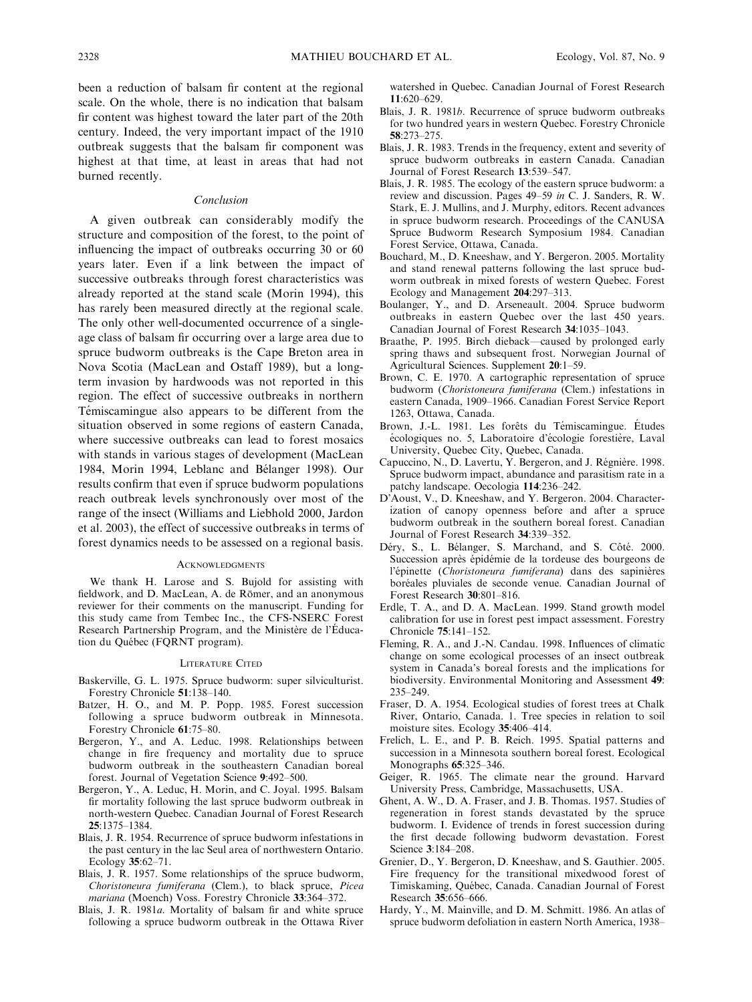been a reduction of balsam fir content at the regional scale. On the whole, there is no indication that balsam fir content was highest toward the later part of the 20th century. Indeed, the very important impact of the 1910 outbreak suggests that the balsam fir component was highest at that time, at least in areas that had not burned recently.

#### Conclusion

A given outbreak can considerably modify the structure and composition of the forest, to the point of influencing the impact of outbreaks occurring 30 or 60 years later. Even if a link between the impact of successive outbreaks through forest characteristics was already reported at the stand scale (Morin 1994), this has rarely been measured directly at the regional scale. The only other well-documented occurrence of a singleage class of balsam fir occurring over a large area due to spruce budworm outbreaks is the Cape Breton area in Nova Scotia (MacLean and Ostaff 1989), but a longterm invasion by hardwoods was not reported in this region. The effect of successive outbreaks in northern Témiscamingue also appears to be different from the situation observed in some regions of eastern Canada, where successive outbreaks can lead to forest mosaics with stands in various stages of development (MacLean 1984, Morin 1994, Leblanc and Bélanger 1998). Our results confirm that even if spruce budworm populations reach outbreak levels synchronously over most of the range of the insect (Williams and Liebhold 2000, Jardon et al. 2003), the effect of successive outbreaks in terms of forest dynamics needs to be assessed on a regional basis.

#### **ACKNOWLEDGMENTS**

We thank H. Larose and S. Bujold for assisting with fieldwork, and D. MacLean, A. de Römer, and an anonymous reviewer for their comments on the manuscript. Funding for this study came from Tembec Inc., the CFS-NSERC Forest Research Partnership Program, and the Ministère de l'Éducation du Québec (FQRNT program).

#### LITERATURE CITED

- Baskerville, G. L. 1975. Spruce budworm: super silviculturist. Forestry Chronicle 51:138–140.
- Batzer, H. O., and M. P. Popp. 1985. Forest succession following a spruce budworm outbreak in Minnesota. Forestry Chronicle 61:75–80.
- Bergeron, Y., and A. Leduc. 1998. Relationships between change in fire frequency and mortality due to spruce budworm outbreak in the southeastern Canadian boreal forest. Journal of Vegetation Science 9:492–500.
- Bergeron, Y., A. Leduc, H. Morin, and C. Joyal. 1995. Balsam fir mortality following the last spruce budworm outbreak in north-western Quebec. Canadian Journal of Forest Research 25:1375–1384.
- Blais, J. R. 1954. Recurrence of spruce budworm infestations in the past century in the lac Seul area of northwestern Ontario. Ecology 35:62–71.
- Blais, J. R. 1957. Some relationships of the spruce budworm, Choristoneura fumiferana (Clem.), to black spruce, Picea mariana (Moench) Voss. Forestry Chronicle 33:364–372.
- Blais, J. R. 1981a. Mortality of balsam fir and white spruce following a spruce budworm outbreak in the Ottawa River

watershed in Quebec. Canadian Journal of Forest Research 11:620–629.

- Blais, J. R. 1981b. Recurrence of spruce budworm outbreaks for two hundred years in western Quebec. Forestry Chronicle 58:273–275.
- Blais, J. R. 1983. Trends in the frequency, extent and severity of spruce budworm outbreaks in eastern Canada. Canadian Journal of Forest Research 13:539–547.
- Blais, J. R. 1985. The ecology of the eastern spruce budworm: a review and discussion. Pages 49–59 in C. J. Sanders, R. W. Stark, E. J. Mullins, and J. Murphy, editors. Recent advances in spruce budworm research. Proceedings of the CANUSA Spruce Budworm Research Symposium 1984. Canadian Forest Service, Ottawa, Canada.
- Bouchard, M., D. Kneeshaw, and Y. Bergeron. 2005. Mortality and stand renewal patterns following the last spruce budworm outbreak in mixed forests of western Quebec. Forest Ecology and Management 204:297–313.
- Boulanger, Y., and D. Arseneault. 2004. Spruce budworm outbreaks in eastern Quebec over the last 450 years. Canadian Journal of Forest Research 34:1035–1043.
- Braathe, P. 1995. Birch dieback—caused by prolonged early spring thaws and subsequent frost. Norwegian Journal of Agricultural Sciences. Supplement 20:1–59.
- Brown, C. E. 1970. A cartographic representation of spruce budworm (Choristoneura fumiferana (Clem.) infestations in eastern Canada, 1909–1966. Canadian Forest Service Report 1263, Ottawa, Canada.
- Brown, J.-L. 1981. Les forêts du Témiscamingue. Études écologiques no. 5, Laboratoire d'écologie forestière, Laval University, Quebec City, Quebec, Canada.
- Capuccino, N., D. Lavertu, Y. Bergeron, and J. Régnière. 1998. Spruce budworm impact, abundance and parasitism rate in a patchy landscape. Oecologia 114:236–242.
- D'Aoust, V., D. Kneeshaw, and Y. Bergeron. 2004. Characterization of canopy openness before and after a spruce budworm outbreak in the southern boreal forest. Canadian Journal of Forest Research 34:339–352.
- Déry, S., L. Bélanger, S. Marchand, and S. Côté. 2000. Succession après épidémie de la tordeuse des bourgeons de l'épinette (Choristoneura fumiferana) dans des sapinières boréales pluviales de seconde venue. Canadian Journal of Forest Research 30:801–816.
- Erdle, T. A., and D. A. MacLean. 1999. Stand growth model calibration for use in forest pest impact assessment. Forestry Chronicle 75:141–152.
- Fleming, R. A., and J.-N. Candau. 1998. Influences of climatic change on some ecological processes of an insect outbreak system in Canada's boreal forests and the implications for biodiversity. Environmental Monitoring and Assessment 49: 235–249.
- Fraser, D. A. 1954. Ecological studies of forest trees at Chalk River, Ontario, Canada. 1. Tree species in relation to soil moisture sites. Ecology 35:406–414.
- Frelich, L. E., and P. B. Reich. 1995. Spatial patterns and succession in a Minnesota southern boreal forest. Ecological Monographs 65:325–346.
- Geiger, R. 1965. The climate near the ground. Harvard University Press, Cambridge, Massachusetts, USA.
- Ghent, A. W., D. A. Fraser, and J. B. Thomas. 1957. Studies of regeneration in forest stands devastated by the spruce budworm. I. Evidence of trends in forest succession during the first decade following budworm devastation. Forest Science 3:184–208.
- Grenier, D., Y. Bergeron, D. Kneeshaw, and S. Gauthier. 2005. Fire frequency for the transitional mixedwood forest of Timiskaming, Québec, Canada. Canadian Journal of Forest Research 35:656–666.
- Hardy, Y., M. Mainville, and D. M. Schmitt. 1986. An atlas of spruce budworm defoliation in eastern North America, 1938–